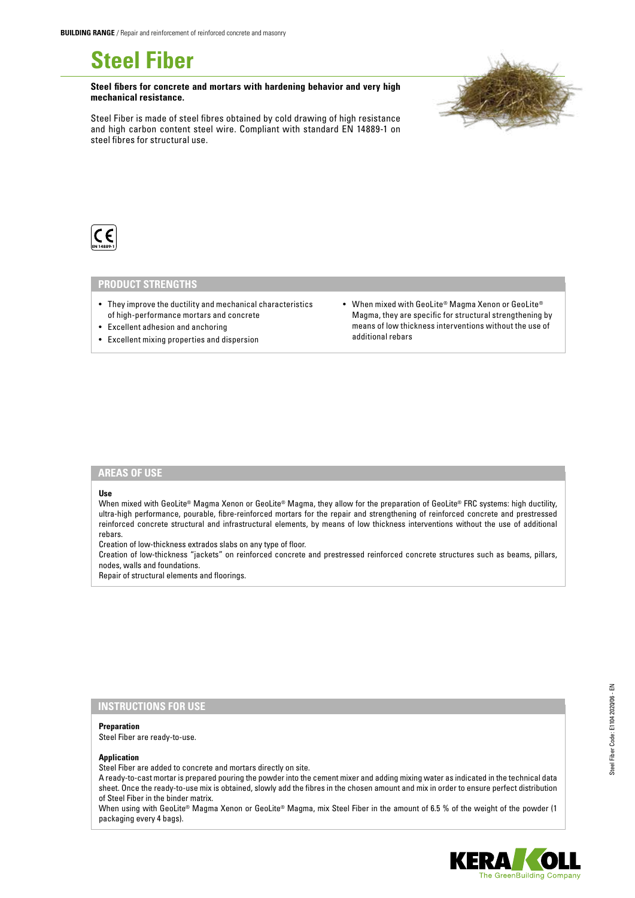**Steel Fiber**

**Steel fibers for concrete and mortars with hardening behavior and very high mechanical resistance.**

Steel Fiber is made of steel fibres obtained by cold drawing of high resistance and high carbon content steel wire. Compliant with standard EN 14889-1 on steel fibres for structural use.





### **PRODUCT STRENGTHS**

- They improve the ductility and mechanical characteristics of high-performance mortars and concrete
- Excellent adhesion and anchoring
- Excellent mixing properties and dispersion
- When mixed with GeoLite® Magma Xenon or GeoLite® Magma, they are specific for structural strengthening by means of low thickness interventions without the use of additional rebars

### **AREAS OF USE**

#### **Use**

When mixed with GeoLite® Magma Xenon or GeoLite® Magma, they allow for the preparation of GeoLite® FRC systems: high ductility, ultra-high performance, pourable, fibre-reinforced mortars for the repair and strengthening of reinforced concrete and prestressed reinforced concrete structural and infrastructural elements, by means of low thickness interventions without the use of additional rebars.

Creation of low-thickness extrados slabs on any type of floor.

Creation of low-thickness "jackets" on reinforced concrete and prestressed reinforced concrete structures such as beams, pillars, nodes, walls and foundations.

Repair of structural elements and floorings.

# **INSTRUCTIONS FOR USE**

#### **Preparation** Steel Fiber are ready-to-use.

### **Application**

Steel Fiber are added to concrete and mortars directly on site.

A ready-to-cast mortar is prepared pouring the powder into the cement mixer and adding mixing water as indicated in the technical data sheet. Once the ready-to-use mix is obtained, slowly add the fibres in the chosen amount and mix in order to ensure perfect distribution of Steel Fiber in the binder matrix.

When using with GeoLite® Magma Xenon or GeoLite® Magma, mix Steel Fiber in the amount of 6.5 % of the weight of the powder (1 packaging every 4 bags).